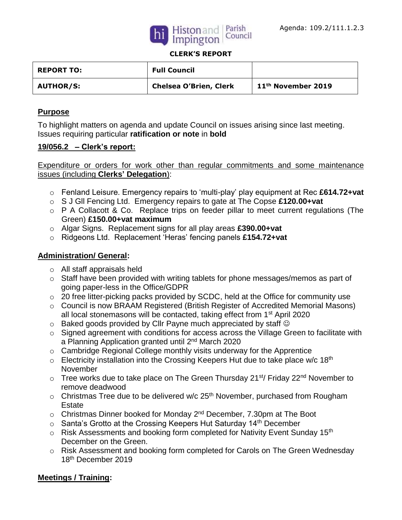



#### **CLERK'S REPORT**

| <b>REPORT TO:</b> | <b>Full Council</b>           |                                |
|-------------------|-------------------------------|--------------------------------|
| <b>AUTHOR/S:</b>  | <b>Chelsea O'Brien, Clerk</b> | 11 <sup>th</sup> November 2019 |

### **Purpose**

To highlight matters on agenda and update Council on issues arising since last meeting. Issues requiring particular **ratification or note** in **bold**

### **19/056.2 – Clerk's report:**

Expenditure or orders for work other than regular commitments and some maintenance issues (including **Clerks' Delegation**):

- o Fenland Leisure. Emergency repairs to 'multi-play' play equipment at Rec **£614.72+vat**
- o S J Gll Fencing Ltd. Emergency repairs to gate at The Copse **£120.00+vat**
- o P A Collacott & Co. Replace trips on feeder pillar to meet current regulations (The Green) **£150.00+vat maximum**
- o Algar Signs. Replacement signs for all play areas **£390.00+vat**
- o Ridgeons Ltd. Replacement 'Heras' fencing panels **£154.72+vat**

# **Administration/ General:**

- o All staff appraisals held
- o Staff have been provided with writing tablets for phone messages/memos as part of going paper-less in the Office/GDPR
- o 20 free litter-picking packs provided by SCDC, held at the Office for community use
- o Council is now BRAAM Registered (British Register of Accredited Memorial Masons) all local stonemasons will be contacted, taking effect from 1<sup>st</sup> April 2020
- $\circ$  Baked goods provided by Cllr Payne much appreciated by staff  $\circledcirc$
- o Signed agreement with conditions for access across the Village Green to facilitate with a Planning Application granted until 2<sup>nd</sup> March 2020
- o Cambridge Regional College monthly visits underway for the Apprentice
- $\circ$  Electricity installation into the Crossing Keepers Hut due to take place w/c 18<sup>th</sup> November
- $\circ$  Tree works due to take place on The Green Thursday 21<sup>st</sup>/ Friday 22<sup>nd</sup> November to remove deadwood
- $\circ$  Christmas Tree due to be delivered w/c 25<sup>th</sup> November, purchased from Rougham Estate
- $\circ$  Christmas Dinner booked for Monday 2<sup>nd</sup> December, 7.30pm at The Boot
- $\circ$  Santa's Grotto at the Crossing Keepers Hut Saturday 14<sup>th</sup> December
- $\circ$  Risk Assessments and booking form completed for Nativity Event Sunday 15<sup>th</sup> December on the Green.
- o Risk Assessment and booking form completed for Carols on The Green Wednesday 18th December 2019

# **Meetings / Training:**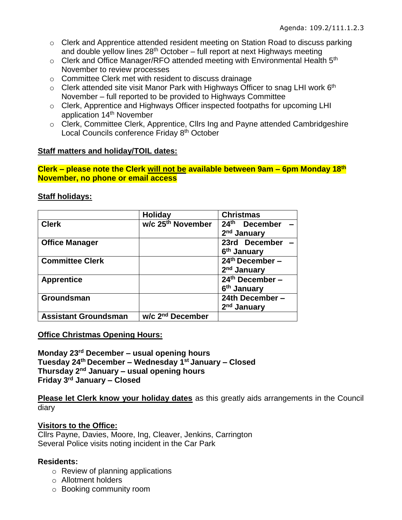- o Clerk and Apprentice attended resident meeting on Station Road to discuss parking and double yellow lines  $28<sup>th</sup>$  October – full report at next Highways meeting
- $\circ$  Clerk and Office Manager/RFO attended meeting with Environmental Health  $5<sup>th</sup>$ November to review processes
- o Committee Clerk met with resident to discuss drainage
- $\circ$  Clerk attended site visit Manor Park with Highways Officer to snag LHI work 6<sup>th</sup> November – full reported to be provided to Highways Committee
- o Clerk, Apprentice and Highways Officer inspected footpaths for upcoming LHI application 14th November
- o Clerk, Committee Clerk, Apprentice, Cllrs Ing and Payne attended Cambridgeshire Local Councils conference Friday 8<sup>th</sup> October

# **Staff matters and holiday/TOIL dates:**

**Clerk – please note the Clerk will not be available between 9am – 6pm Monday 18th November, no phone or email access**

#### **Staff holidays:**

|                             | <b>Holiday</b>                | <b>Christmas</b>        |  |
|-----------------------------|-------------------------------|-------------------------|--|
| <b>Clerk</b>                | w/c 25 <sup>th</sup> November | 24th December           |  |
|                             |                               | 2 <sup>nd</sup> January |  |
| <b>Office Manager</b>       |                               | 23rd December           |  |
|                             |                               | 6 <sup>th</sup> January |  |
| <b>Committee Clerk</b>      |                               | $24th$ December $-$     |  |
|                             |                               | 2 <sup>nd</sup> January |  |
| <b>Apprentice</b>           |                               | $24th$ December –       |  |
|                             |                               | 6 <sup>th</sup> January |  |
| Groundsman                  |                               | 24th December-          |  |
|                             |                               | 2 <sup>nd</sup> January |  |
| <b>Assistant Groundsman</b> | w/c 2 <sup>nd</sup> December  |                         |  |

**Office Christmas Opening Hours:** 

**Monday 23rd December – usual opening hours Tuesday 24th December – Wednesday 1st January – Closed Thursday 2nd January – usual opening hours Friday 3rd January – Closed** 

**Please let Clerk know your holiday dates** as this greatly aids arrangements in the Council diary

### **Visitors to the Office:**

Cllrs Payne, Davies, Moore, Ing, Cleaver, Jenkins, Carrington Several Police visits noting incident in the Car Park

### **Residents:**

- $\circ$  Review of planning applications
- o Allotment holders
- o Booking community room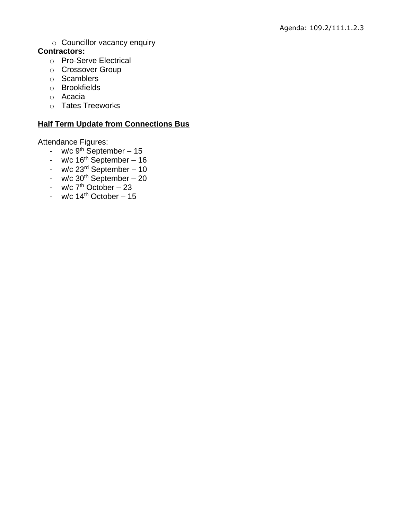o Councillor vacancy enquiry

# **Contractors:**

- o Pro-Serve Electrical
- o Crossover Group
- o Scamblers
- o Brookfields
- o Acacia
- o Tates Treeworks

# **Half Term Update from Connections Bus**

Attendance Figures:

- w/c  $9^{th}$  September 15
- $w/c$  16<sup>th</sup> September 16
- $w/c$  23<sup>rd</sup> September 10
- $w/c$  30<sup>th</sup> September 20
- w/c  $7<sup>th</sup>$  October 23
- $w/c$  14<sup>th</sup> October 15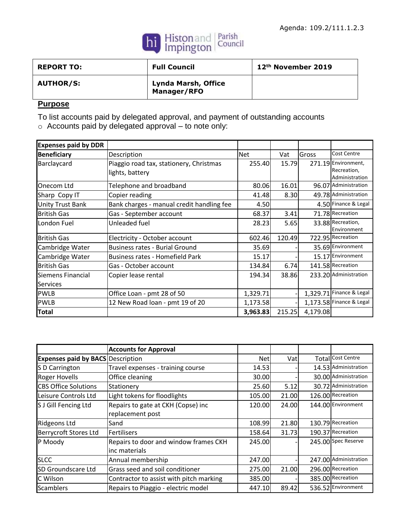

| <b>REPORT TO:</b> | <b>Full Council</b>                       | 12 <sup>th</sup> November 2019 |
|-------------------|-------------------------------------------|--------------------------------|
| <b>AUTHOR/S:</b>  | <b>Lynda Marsh, Office</b><br>Manager/RFO |                                |

# **Purpose**

To list accounts paid by delegated approval, and payment of outstanding accounts

o Accounts paid by delegated approval – to note only:

| <b>Expenses paid by DDR</b>          |                                                            |            |        |          |                                                      |
|--------------------------------------|------------------------------------------------------------|------------|--------|----------|------------------------------------------------------|
| <b>Beneficiary</b>                   | Description                                                | <b>Net</b> | Vat    | Gross    | Cost Centre                                          |
| Barclaycard                          | Piaggio road tax, stationery, Christmas<br>lights, battery | 255.40     | 15.79  |          | 271.19 Environment,<br>Recreation,<br>Administration |
| Onecom Ltd                           | Telephone and broadband                                    | 80.06      | 16.01  |          | 96.07 Administration                                 |
| Sharp Copy IT                        | Copier reading                                             | 41.48      | 8.30   |          | 49.78 Administration                                 |
| <b>Unity Trust Bank</b>              | Bank charges - manual credit handling fee                  | 4.50       |        |          | 4.50 Finance & Legal                                 |
| <b>British Gas</b>                   | Gas - September account                                    | 68.37      | 3.41   |          | 71.78 Recreation                                     |
| London Fuel                          | Unleaded fuel                                              | 28.23      | 5.65   |          | 33.88 Recreation,<br>Environment                     |
| <b>British Gas</b>                   | Electricity - October account                              | 602.46     | 120.49 |          | 722.95 Recreation                                    |
| Cambridge Water                      | <b>Business rates - Burial Ground</b>                      | 35.69      |        |          | 35.69 Environment                                    |
| Cambridge Water                      | Business rates - Homefield Park                            | 15.17      |        |          | 15.17 Environment                                    |
| <b>British Gas</b>                   | Gas - October account                                      | 134.84     | 6.74   |          | 141.58 Recreation                                    |
| Siemens Financial<br><b>Services</b> | Copier lease rental                                        | 194.34     | 38.86  |          | 233.20 Administration                                |
| <b>PWLB</b>                          | Office Loan - pmt 28 of 50                                 | 1,329.71   |        |          | 1,329.71 Finance & Legal                             |
| <b>PWLB</b>                          | 12 New Road loan - pmt 19 of 20                            | 1,173.58   |        |          | 1,173.58 Finance & Legal                             |
| <b>Total</b>                         |                                                            | 3,963.83   | 215.25 | 4,179.08 |                                                      |

|                                          | <b>Accounts for Approval</b>            |            |       |                       |
|------------------------------------------|-----------------------------------------|------------|-------|-----------------------|
| <b>Expenses paid by BACS Description</b> |                                         | <b>Net</b> | Vatl  | Total Cost Centre     |
| S D Carrington                           | Travel expenses - training course       | 14.53      |       | 14.53 Administration  |
| <b>Roger Hovells</b>                     | Office cleaning                         | 30.00      |       | 30.00 Administration  |
| <b>CBS Office Solutions</b>              | Stationery                              | 25.60      | 5.12  | 30.72 Administration  |
| Leisure Controls Ltd                     | Light tokens for floodlights            | 105.00     | 21.00 | 126.00 Recreation     |
| S J Gill Fencing Ltd                     | Repairs to gate at CKH (Copse) inc      | 120.00     | 24.00 | 144.00 Environment    |
|                                          | replacement post                        |            |       |                       |
| <b>Ridgeons Ltd</b>                      | Sand                                    | 108.99     | 21.80 | 130.79 Recreation     |
| <b>Berrycroft Stores Ltd</b>             | <b>Fertilisers</b>                      | 158.64     | 31.73 | 190.37 Recreation     |
| P Moody                                  | Repairs to door and window frames CKH   | 245.00     |       | 245.00 Spec Reserve   |
|                                          | inc materials                           |            |       |                       |
| <b>SLCC</b>                              | Annual membership                       | 247.00     |       | 247.00 Administration |
| SD Groundscare Ltd                       | Grass seed and soil conditioner         | 275.00     | 21.00 | 296.00 Recreation     |
| C Wilson                                 | Contractor to assist with pitch marking | 385.00     |       | 385.00 Recreation     |
| Scamblers                                | Repairs to Piaggio - electric model     | 447.10     | 89.42 | 536.52 Environment    |